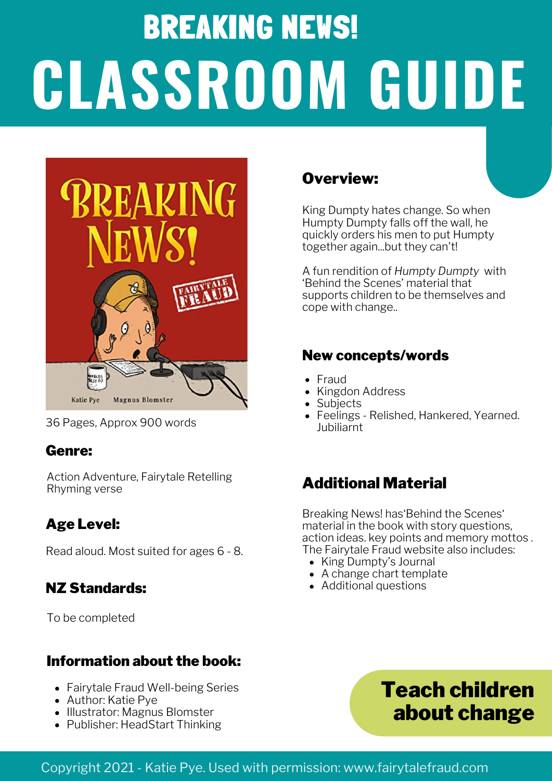# BREAKING NEWS! **CLASSROOM GUIDE**



36 Pages, Approx 900 words

#### Genre:

Action Adventure, Fairytale Retelling Rhyming verse

#### Age Level:

Read aloud. Most suited for ages 6 - 8.

#### NZ Standards:

To be completed

#### Information about the book:

- Fairytale Fraud Well-being Series
- Author: Katie Pye
- Illustrator: Magnus Blomster
- Publisher: HeadStart Thinking

#### Overview:

King Dumpty hates change. So when Humpty Dumpty falls off the wall, he quickly orders his men to put Humpty together again...but they can't!

A fun rendition of *Humpty Dumpty* with 'Behind the Scenes' material that supports children to be themselves and cope with change..

#### New concepts/words

- Fraud
- Kingdon Address
- **Subjects**
- Feelings Relished, Hankered, Yearned. Jubiliarnt

### Additional Material

Breaking News! has'Behind the Scenes' material in the book with story questions, action ideas. key points and memory mottos . The Fairytale Fraud website also includes:

- King Dumpty's Journal
- A change chart template
- Additional questions



#### Copyright 2021 - Katie Pye. Used with permission: www.fairytalefraud.com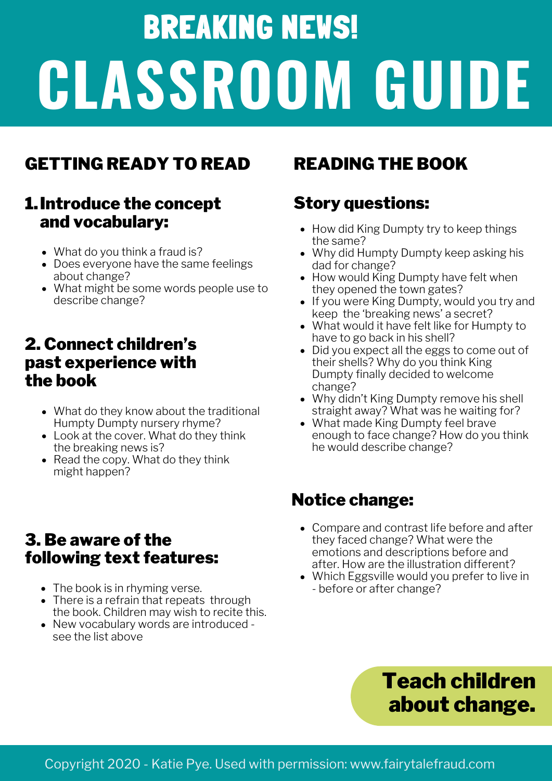# BREAKING NEWS! **CLASSROOM GUIDE**

# GETTING READY TO READ READING THE BOOK

### Introduce the concept 1. and vocabulary:

- What do you think a fraud is?
- Does everyone have the same feelings about change?
- What might be some words people use to describe change?

#### 2. Connect children's past experience with the book

- What do they know about the traditional Humpty Dumpty nursery rhyme?
- Look at the cover. What do they think the breaking news is?
- Read the copy. What do they think might happen?

### 3. Be aware of the following text features:

- The book is in rhyming verse.
- There is a refrain that repeats through the book. Children may wish to recite this.
- New vocabulary words are introduced see the list above

### Story questions:

- How did King Dumpty try to keep things the same?
- Why did Humpty Dumpty keep asking his dad for change?
- How would King Dumpty have felt when they opened the town gates?
- If you were King Dumpty, would you try and keep the 'breaking news' a secret?
- What would it have felt like for Humpty to have to go back in his shell?
- Did you expect all the eggs to come out of their shells? Why do you think King Dumpty finally decided to welcome change?
- Why didn't King Dumpty remove his shell straight away? What was he waiting for?
- What made King Dumpty feel brave enough to face change? How do you think he would describe change?

# Notice change:

- Compare and contrast life before and after they faced change? What were the emotions and descriptions before and after. How are the illustration different?
- Which Eggsville would you prefer to live in - before or after change?